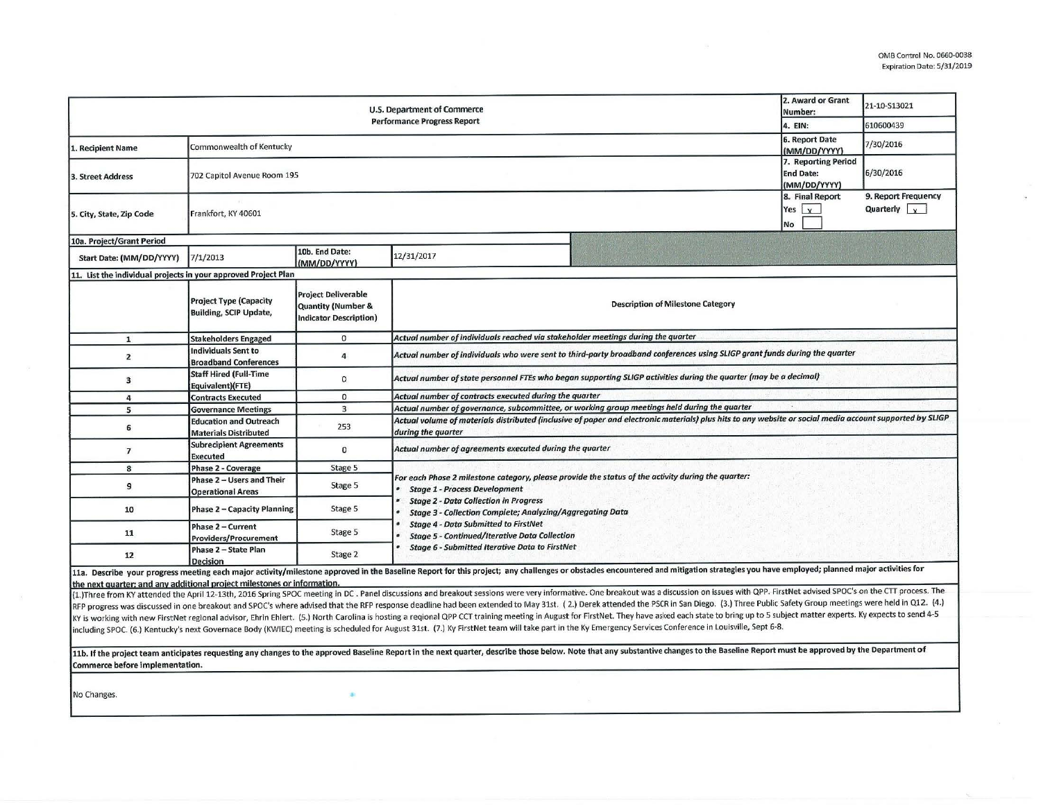$\overline{\mathbb{Z}}$ 

| U.S. Department of Commerce<br><b>Performance Progress Report</b>       |                                                                 |                                                                                              |                                                                                                                                                                                                                                                                                                                                                                                                                                                                                                                                                                                                                                                                                                                                                                                                                                                                                                                                                                                                                                                                                                                                                 |  | 2. Award or Grant<br>Number:                          | 21-10-S13021                                           |  |  |
|-------------------------------------------------------------------------|-----------------------------------------------------------------|----------------------------------------------------------------------------------------------|-------------------------------------------------------------------------------------------------------------------------------------------------------------------------------------------------------------------------------------------------------------------------------------------------------------------------------------------------------------------------------------------------------------------------------------------------------------------------------------------------------------------------------------------------------------------------------------------------------------------------------------------------------------------------------------------------------------------------------------------------------------------------------------------------------------------------------------------------------------------------------------------------------------------------------------------------------------------------------------------------------------------------------------------------------------------------------------------------------------------------------------------------|--|-------------------------------------------------------|--------------------------------------------------------|--|--|
| 4. EIN:                                                                 |                                                                 |                                                                                              |                                                                                                                                                                                                                                                                                                                                                                                                                                                                                                                                                                                                                                                                                                                                                                                                                                                                                                                                                                                                                                                                                                                                                 |  |                                                       | 610600439                                              |  |  |
| 1. Recipient Name                                                       | Commonwealth of Kentucky                                        |                                                                                              |                                                                                                                                                                                                                                                                                                                                                                                                                                                                                                                                                                                                                                                                                                                                                                                                                                                                                                                                                                                                                                                                                                                                                 |  | 6. Report Date<br>(MM/DD/YYYY)<br>7. Reporting Period | 7/30/2016                                              |  |  |
| 3. Street Address                                                       | <b>End Date:</b><br>702 Capitol Avenue Room 195<br>(MM/DD/YYYY) |                                                                                              |                                                                                                                                                                                                                                                                                                                                                                                                                                                                                                                                                                                                                                                                                                                                                                                                                                                                                                                                                                                                                                                                                                                                                 |  |                                                       | 6/30/2016                                              |  |  |
| 5. City, State, Zip Code                                                | Frankfort, KY 40601                                             |                                                                                              |                                                                                                                                                                                                                                                                                                                                                                                                                                                                                                                                                                                                                                                                                                                                                                                                                                                                                                                                                                                                                                                                                                                                                 |  | 8. Final Report<br>Yes $\vert x \vert$<br>No          | 9. Report Frequency<br>Quarterly $\vert \cdot \rangle$ |  |  |
| 10a. Project/Grant Period                                               |                                                                 |                                                                                              |                                                                                                                                                                                                                                                                                                                                                                                                                                                                                                                                                                                                                                                                                                                                                                                                                                                                                                                                                                                                                                                                                                                                                 |  |                                                       |                                                        |  |  |
| Start Date: (MM/DD/YYYY)                                                | 7/1/2013                                                        | 10b. End Date:<br>(MM/DD/YYYY)                                                               | 12/31/2017                                                                                                                                                                                                                                                                                                                                                                                                                                                                                                                                                                                                                                                                                                                                                                                                                                                                                                                                                                                                                                                                                                                                      |  |                                                       |                                                        |  |  |
| 11. List the individual projects in your approved Project Plan          |                                                                 |                                                                                              |                                                                                                                                                                                                                                                                                                                                                                                                                                                                                                                                                                                                                                                                                                                                                                                                                                                                                                                                                                                                                                                                                                                                                 |  |                                                       |                                                        |  |  |
|                                                                         | <b>Project Type (Capacity</b><br><b>Building, SCIP Update,</b>  | <b>Project Deliverable</b><br><b>Quantity (Number &amp;</b><br><b>Indicator Description)</b> | <b>Description of Milestone Category</b>                                                                                                                                                                                                                                                                                                                                                                                                                                                                                                                                                                                                                                                                                                                                                                                                                                                                                                                                                                                                                                                                                                        |  |                                                       |                                                        |  |  |
| $\mathbf{1}$                                                            | <b>Stakeholders Engaged</b>                                     | $\mathbf{0}$                                                                                 | Actual number of individuals reached via stakeholder meetings during the quarter                                                                                                                                                                                                                                                                                                                                                                                                                                                                                                                                                                                                                                                                                                                                                                                                                                                                                                                                                                                                                                                                |  |                                                       |                                                        |  |  |
| $\overline{2}$                                                          | Individuals Sent to<br><b>Broadband Conferences</b>             | $\overline{4}$                                                                               | Actual number of individuals who were sent to third-party broadband conferences using SLIGP grant funds during the quarter                                                                                                                                                                                                                                                                                                                                                                                                                                                                                                                                                                                                                                                                                                                                                                                                                                                                                                                                                                                                                      |  |                                                       |                                                        |  |  |
| 3                                                                       | <b>Staff Hired (Full-Time</b><br>Equivalent)(FTE)               | 0                                                                                            | Actual number of state personnel FTEs who began supporting SLIGP activities during the quarter (may be a decimal)                                                                                                                                                                                                                                                                                                                                                                                                                                                                                                                                                                                                                                                                                                                                                                                                                                                                                                                                                                                                                               |  |                                                       |                                                        |  |  |
| 4                                                                       | <b>Contracts Executed</b>                                       | $\mathbf 0$                                                                                  | Actual number of contracts executed during the quarter                                                                                                                                                                                                                                                                                                                                                                                                                                                                                                                                                                                                                                                                                                                                                                                                                                                                                                                                                                                                                                                                                          |  |                                                       |                                                        |  |  |
| 5                                                                       | <b>Governance Meetings</b>                                      | $\overline{3}$                                                                               | Actual number of governance, subcommittee, or working group meetings held during the quarter                                                                                                                                                                                                                                                                                                                                                                                                                                                                                                                                                                                                                                                                                                                                                                                                                                                                                                                                                                                                                                                    |  |                                                       |                                                        |  |  |
| 6                                                                       | <b>Education and Outreach</b><br><b>Materials Distributed</b>   | 253                                                                                          | Actual volume of materials distributed (inclusive of paper and electronic materials) plus hits to any website or social media account supported by SLIGP<br>during the quarter                                                                                                                                                                                                                                                                                                                                                                                                                                                                                                                                                                                                                                                                                                                                                                                                                                                                                                                                                                  |  |                                                       |                                                        |  |  |
| $\overline{\phantom{a}}$                                                | <b>Subrecipient Agreements</b><br><b>Executed</b>               | $\mathbf{0}$                                                                                 | Actual number of agreements executed during the quarter                                                                                                                                                                                                                                                                                                                                                                                                                                                                                                                                                                                                                                                                                                                                                                                                                                                                                                                                                                                                                                                                                         |  |                                                       |                                                        |  |  |
| 8                                                                       | Phase 2 - Coverage                                              | Stage 5                                                                                      |                                                                                                                                                                                                                                                                                                                                                                                                                                                                                                                                                                                                                                                                                                                                                                                                                                                                                                                                                                                                                                                                                                                                                 |  |                                                       |                                                        |  |  |
| 9                                                                       | Phase 2 - Users and Their<br><b>Operational Areas</b>           | Stage 5                                                                                      | For each Phase 2 milestone category, please provide the status of the activity during the quarter:<br><b>Stage 1 - Process Development</b><br><b>Stage 2 - Data Collection in Progress</b><br><b>Stage 3 - Collection Complete; Analyzing/Aggregating Data</b>                                                                                                                                                                                                                                                                                                                                                                                                                                                                                                                                                                                                                                                                                                                                                                                                                                                                                  |  |                                                       |                                                        |  |  |
| 10                                                                      | Phase 2 - Capacity Planning                                     | Stage 5                                                                                      |                                                                                                                                                                                                                                                                                                                                                                                                                                                                                                                                                                                                                                                                                                                                                                                                                                                                                                                                                                                                                                                                                                                                                 |  |                                                       |                                                        |  |  |
| 11                                                                      | Phase 2 - Current<br><b>Providers/Procurement</b>               | Stage 5                                                                                      | <b>Stage 4 - Data Submitted to FirstNet</b><br><b>Stage 5 - Continued/Iterative Data Collection</b>                                                                                                                                                                                                                                                                                                                                                                                                                                                                                                                                                                                                                                                                                                                                                                                                                                                                                                                                                                                                                                             |  |                                                       |                                                        |  |  |
| 12                                                                      | Phase 2 - State Plan<br>Decision                                | Stage 2                                                                                      | <b>Stage 6 - Submitted Iterative Data to FirstNet</b>                                                                                                                                                                                                                                                                                                                                                                                                                                                                                                                                                                                                                                                                                                                                                                                                                                                                                                                                                                                                                                                                                           |  |                                                       |                                                        |  |  |
| the next quarter; and any additional project milestones or information. |                                                                 |                                                                                              | 11a. Describe your progress meeting each major activity/milestone approved in the Baseline Report for this project; any challenges or obstacles encountered and mitigation strategies you have employed; planned major activit<br>(1.) Three from KY attended the April 12-13th, 2016 Spring SPOC meeting in DC. Panel discussions and breakout sessions were very informative. One breakout was a discussion on issues with QPP. FirstNet advised SPOC's on the<br>RFP progress was discussed in one breakout and SPOC's where advised that the RFP response deadline had been extended to May 31st. (2.) Derek attended the PSCR in San Diego. (3.) Three Public Safety Group meetings were held<br>KY is working with new FirstNet regional advisor, Ehrin Ehlert. (5.) North Carolina is hosting a reqional QPP CCT training meeting in August for FirstNet. They have asked each state to bring up to 5 subject matter experts.<br>including SPOC. (6.) Kentucky's next Governace Body (KWIEC) meeting is scheduled for August 31st. (7.) Ky FirstNet team will take part in the Ky Emergency Services Conference in Louisville, Sept 6-8. |  |                                                       |                                                        |  |  |

11b. If the project team anticipates requesting any changes to the approved Baseline Report in the next quarter, describe those below. Note that any substantive changes to the Baseline Report must be approved by the Depart Commerce before implementation.

No Changes.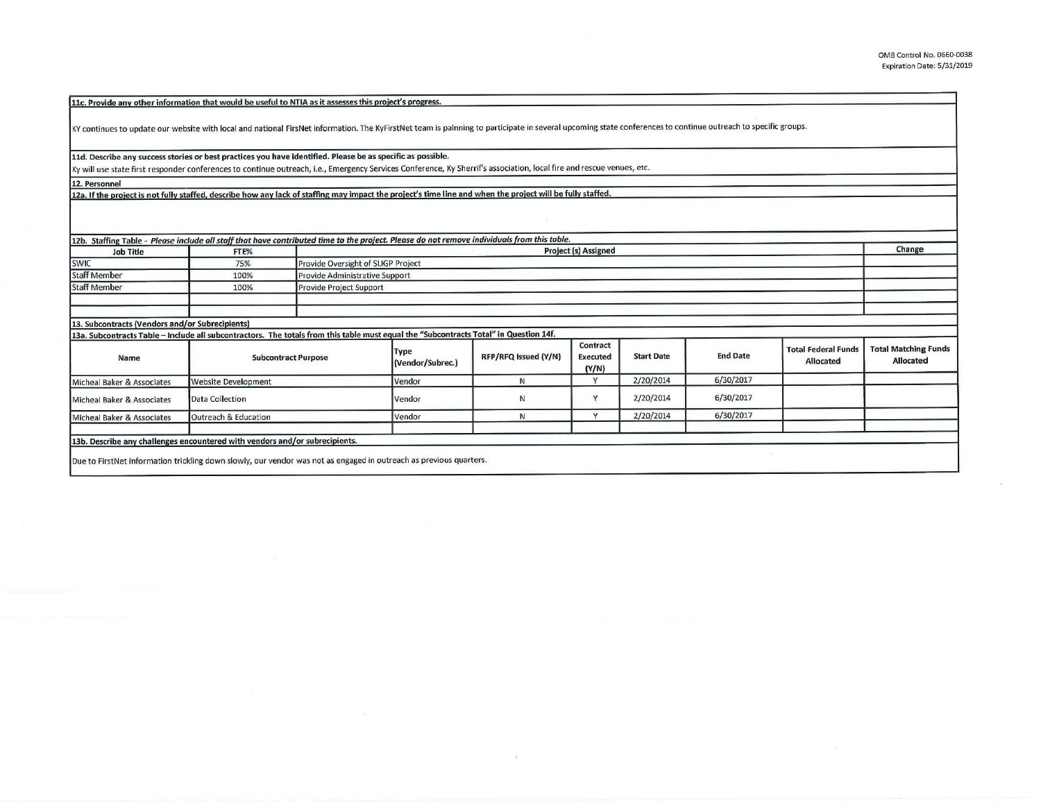**llc. Provide anv other information that would be useful to NTIA as it assesses this oroiect's orooress.** 

KY continues to update our website with local and national FirsNet information. The KyFirstNet team is palnning to participate in several upcoming state conferences to continue outreach to specific groups.

**11d. Describe any success stories or best practices you have identified. Please be as specific as possible.** 

Ky will use stat e first r esponder conferences to continue outreach, i.e., Emergency Services Conference, Ky Sherrif's association, local fire and rescue venues, etc.

**12. Personnel** 

12a. If the project is not fully staffed, describe how any lack of staffing may impact the project's time line and when the project will be fully staffed.

| 12b. Staffing Table - Please include all staff that have contributed time to the project. Please do not remove individuals from this table.                                                       |                            |                         |                                                                   |                      |                                      |                   |                 |                                         |                                                 |  |
|---------------------------------------------------------------------------------------------------------------------------------------------------------------------------------------------------|----------------------------|-------------------------|-------------------------------------------------------------------|----------------------|--------------------------------------|-------------------|-----------------|-----------------------------------------|-------------------------------------------------|--|
| <b>Job Title</b>                                                                                                                                                                                  | FTE%                       |                         | Change                                                            |                      |                                      |                   |                 |                                         |                                                 |  |
| <b>SWIC</b>                                                                                                                                                                                       | 75%                        |                         | <b>Project (s) Assigned</b><br>Provide Oversight of SLIGP Project |                      |                                      |                   |                 |                                         |                                                 |  |
| <b>Staff Member</b>                                                                                                                                                                               | 100%                       |                         | Provide Administrative Support                                    |                      |                                      |                   |                 |                                         |                                                 |  |
| <b>Staff Member</b>                                                                                                                                                                               | 100%                       | Provide Project Support |                                                                   |                      |                                      |                   |                 |                                         |                                                 |  |
|                                                                                                                                                                                                   |                            |                         |                                                                   |                      |                                      |                   |                 |                                         |                                                 |  |
|                                                                                                                                                                                                   |                            |                         |                                                                   |                      |                                      |                   |                 |                                         |                                                 |  |
| 13. Subcontracts (Vendors and/or Subrecipients)                                                                                                                                                   |                            |                         |                                                                   |                      |                                      |                   |                 |                                         |                                                 |  |
| 13a. Subcontracts Table - Include all subcontractors. The totals from this table must equal the "Subcontracts Total" in Question 14f.                                                             |                            |                         |                                                                   |                      |                                      |                   |                 |                                         |                                                 |  |
| Name                                                                                                                                                                                              | <b>Subcontract Purpose</b> |                         | <b>Type</b><br>(Vendor/Subrec.)                                   | RFP/RFQ Issued (Y/N) | Contract<br><b>Executed</b><br>(Y/N) | <b>Start Date</b> | <b>End Date</b> | <b>Total Federal Funds</b><br>Allocated | <b>Total Matching Funds</b><br><b>Allocated</b> |  |
| Micheal Baker & Associates                                                                                                                                                                        | <b>Website Development</b> |                         | Vendor                                                            | N                    | $\mathbf{v}$                         | 2/20/2014         | 6/30/2017       |                                         |                                                 |  |
| Micheal Baker & Associates                                                                                                                                                                        | Data Collection            |                         | Vendor                                                            | N                    | v                                    | 2/20/2014         | 6/30/2017       |                                         |                                                 |  |
| Micheal Baker & Associates                                                                                                                                                                        | Outreach & Education       |                         | Vendor                                                            | N                    |                                      | 2/20/2014         | 6/30/2017       |                                         |                                                 |  |
| 13b. Describe any challenges encountered with vendors and/or subrecipients.<br>Due to FirstNet information trickling down slowly, our vendor was not as engaged in outreach as previous quarters. |                            |                         |                                                                   |                      |                                      |                   |                 |                                         |                                                 |  |